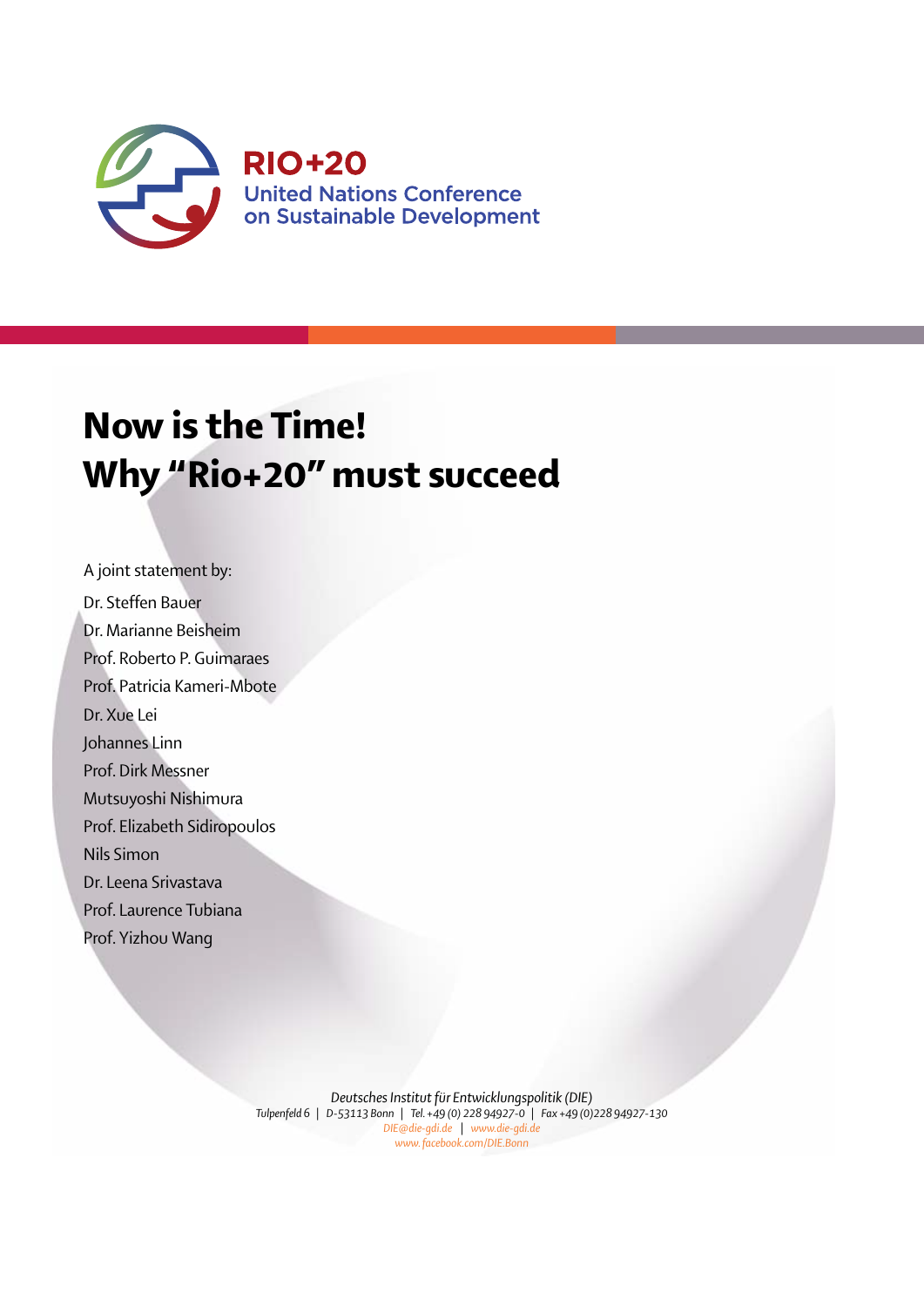

# Now is the Time! Why "Rio+20" must succeed

A joint statement by: Dr. Steffen Bauer Dr. Marianne Beisheim Prof. Roberto P. Guimaraes Prof. Patricia Kameri-Mbote Dr. Xue Lei Johannes Linn Prof. Dirk Messner Mutsuyoshi Nishimura Prof. Elizabeth Sidiropoulos Nils Simon Dr. Leena Srivastava Prof. Laurence Tubiana Prof. Yizhou Wang

> *Deutsches Institut für Entwicklungspolitik (DIE) Tulpenfeld 6* | *D-53113 Bonn* | *Tel. +49 (0) 228 94927-0* | *Fax +49 (0)228 94927-130 DIE@die-gdi.de* | *www.die-gdi.de www. facebook.com/DIE.Bonn*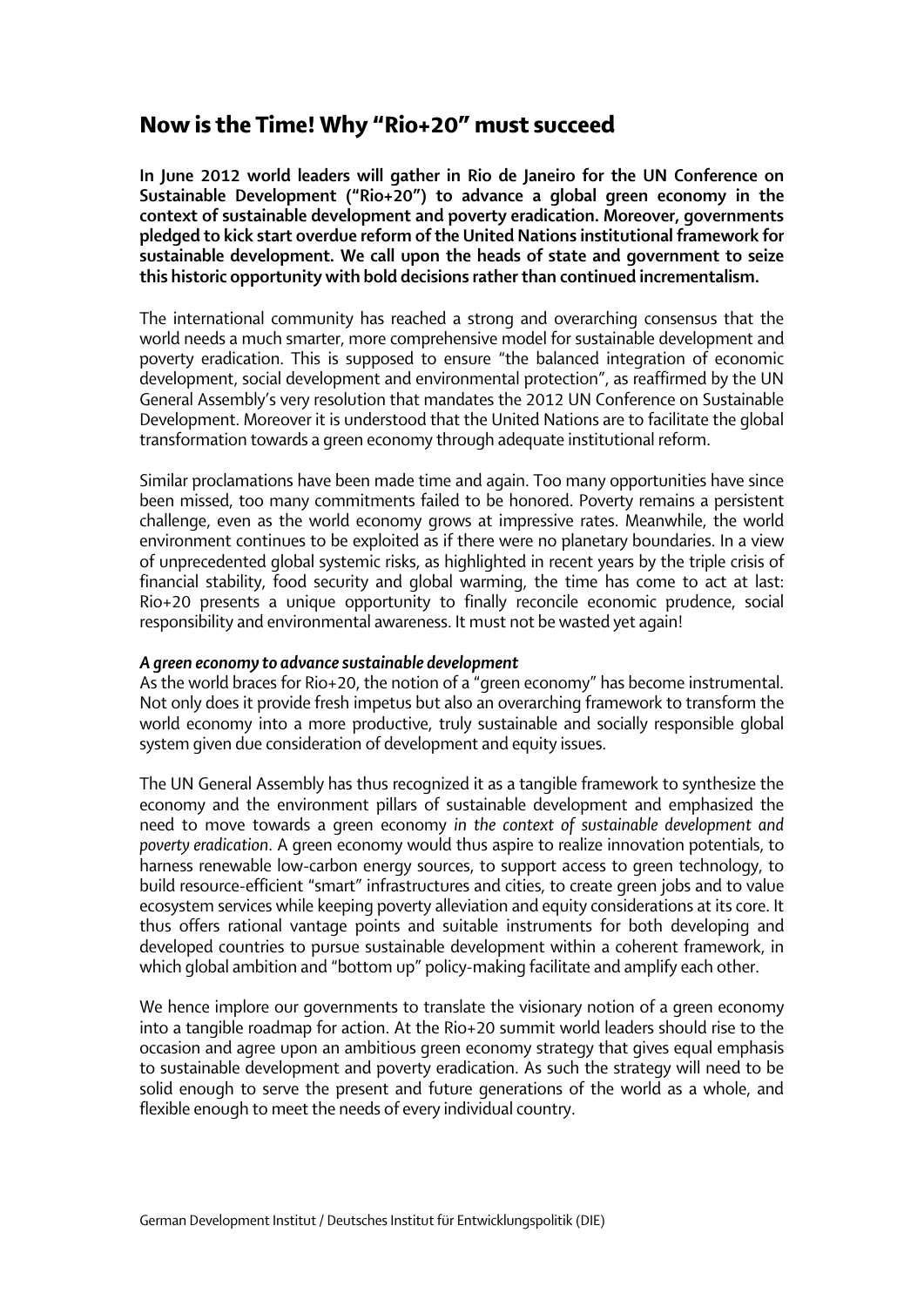## Now is the Time! Why "Rio+20" must succeed

In June 2012 world leaders will gather in Rio de Janeiro for the UN Conference on Sustainable Development ("Rio+20") to advance a global green economy in the context of sustainable development and poverty eradication. Moreover, governments pledged to kick start overdue reform of the United Nations institutional framework for sustainable development. We call upon the heads of state and government to seize this historic opportunity with bold decisions rather than continued incrementalism.

The international community has reached a strong and overarching consensus that the world needs a much smarter, more comprehensive model for sustainable development and poverty eradication. This is supposed to ensure "the balanced integration of economic development, social development and environmental protection", as reaffirmed by the UN General Assembly's very resolution that mandates the 2012 UN Conference on Sustainable Development. Moreover it is understood that the United Nations are to facilitate the global transformation towards a green economy through adequate institutional reform.

Similar proclamations have been made time and again. Too many opportunities have since been missed, too many commitments failed to be honored. Poverty remains a persistent challenge, even as the world economy grows at impressive rates. Meanwhile, the world environment continues to be exploited as if there were no planetary boundaries. In a view of unprecedented global systemic risks, as highlighted in recent years by the triple crisis of financial stability, food security and global warming, the time has come to act at last: Rio+20 presents a unique opportunity to finally reconcile economic prudence, social responsibility and environmental awareness. It must not be wasted yet again!

### *A green economy to advance sustainable development*

As the world braces for Rio+20, the notion of a "green economy" has become instrumental. Not only does it provide fresh impetus but also an overarching framework to transform the world economy into a more productive, truly sustainable and socially responsible global system given due consideration of development and equity issues.

The UN General Assembly has thus recognized it as a tangible framework to synthesize the economy and the environment pillars of sustainable development and emphasized the need to move towards a green economy *in the context of sustainable development and poverty eradication*. A green economy would thus aspire to realize innovation potentials, to harness renewable low-carbon energy sources, to support access to green technology, to build resource-efficient "smart" infrastructures and cities, to create green jobs and to value ecosystem services while keeping poverty alleviation and equity considerations at its core. It thus offers rational vantage points and suitable instruments for both developing and developed countries to pursue sustainable development within a coherent framework, in which global ambition and "bottom up" policy-making facilitate and amplify each other.

We hence implore our governments to translate the visionary notion of a green economy into a tangible roadmap for action. At the Rio+20 summit world leaders should rise to the occasion and agree upon an ambitious green economy strategy that gives equal emphasis to sustainable development and poverty eradication. As such the strategy will need to be solid enough to serve the present and future generations of the world as a whole, and flexible enough to meet the needs of every individual country.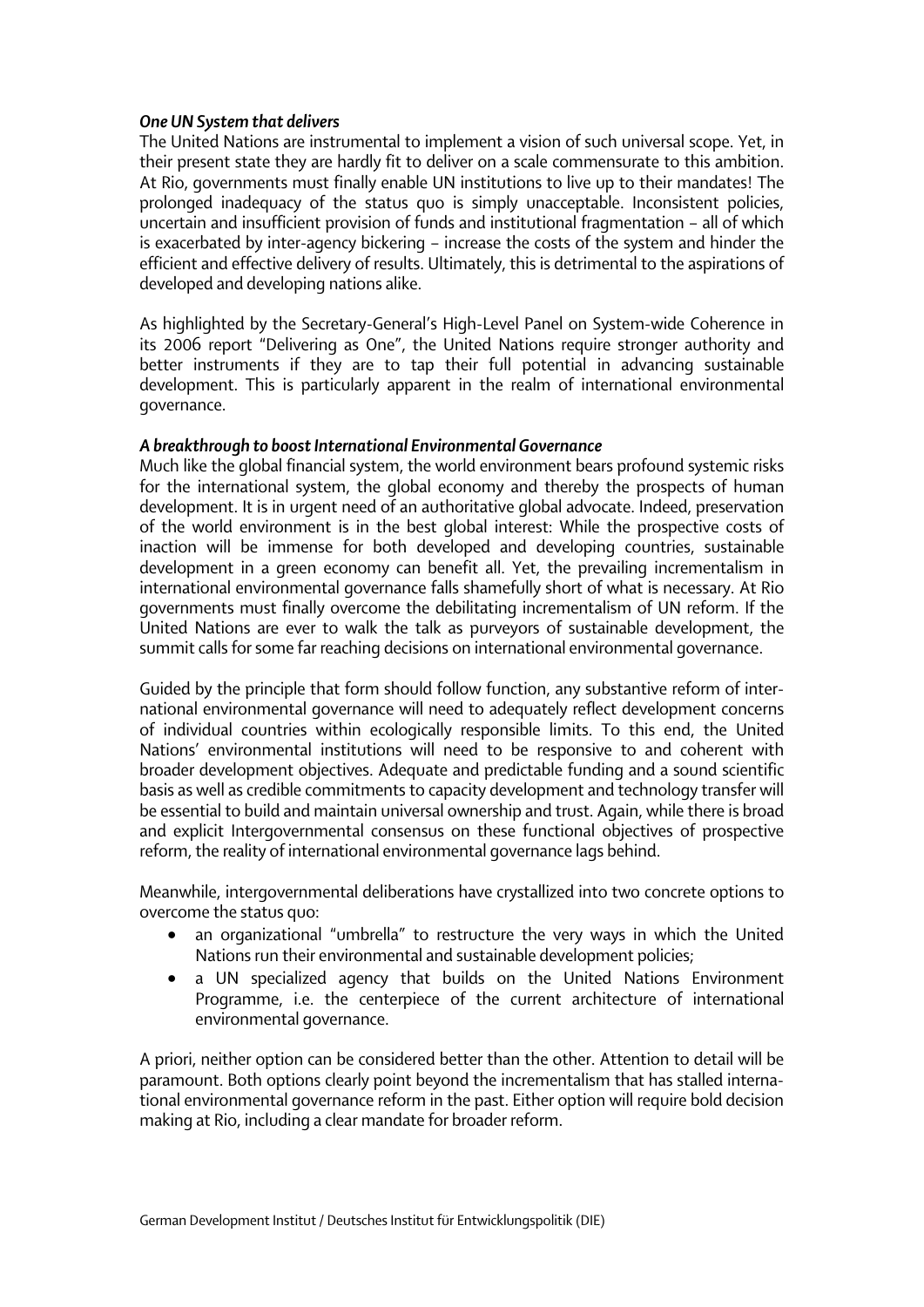#### *One UN System that delivers*

The United Nations are instrumental to implement a vision of such universal scope. Yet, in their present state they are hardly fit to deliver on a scale commensurate to this ambition. At Rio, governments must finally enable UN institutions to live up to their mandates! The prolonged inadequacy of the status quo is simply unacceptable. Inconsistent policies, uncertain and insufficient provision of funds and institutional fragmentation – all of which is exacerbated by inter-agency bickering – increase the costs of the system and hinder the efficient and effective delivery of results. Ultimately, this is detrimental to the aspirations of developed and developing nations alike.

As highlighted by the Secretary-General's High-Level Panel on System-wide Coherence in its 2006 report "Delivering as One", the United Nations require stronger authority and better instruments if they are to tap their full potential in advancing sustainable development. This is particularly apparent in the realm of international environmental governance.

#### *A breakthrough to boost International Environmental Governance*

Much like the global financial system, the world environment bears profound systemic risks for the international system, the global economy and thereby the prospects of human development. It is in urgent need of an authoritative global advocate. Indeed, preservation of the world environment is in the best global interest: While the prospective costs of inaction will be immense for both developed and developing countries, sustainable development in a green economy can benefit all. Yet, the prevailing incrementalism in international environmental governance falls shamefully short of what is necessary. At Rio governments must finally overcome the debilitating incrementalism of UN reform. If the United Nations are ever to walk the talk as purveyors of sustainable development, the summit calls for some far reaching decisions on international environmental governance.

Guided by the principle that form should follow function, any substantive reform of international environmental governance will need to adequately reflect development concerns of individual countries within ecologically responsible limits. To this end, the United Nations' environmental institutions will need to be responsive to and coherent with broader development objectives. Adequate and predictable funding and a sound scientific basis as well as credible commitments to capacity development and technology transfer will be essential to build and maintain universal ownership and trust. Again, while there is broad and explicit Intergovernmental consensus on these functional objectives of prospective reform, the reality of international environmental governance lags behind.

Meanwhile, intergovernmental deliberations have crystallized into two concrete options to overcome the status quo:

- an organizational "umbrella" to restructure the very ways in which the United Nations run their environmental and sustainable development policies;
- a UN specialized agency that builds on the United Nations Environment Programme, i.e. the centerpiece of the current architecture of international environmental governance.

A priori, neither option can be considered better than the other. Attention to detail will be paramount. Both options clearly point beyond the incrementalism that has stalled international environmental governance reform in the past. Either option will require bold decision making at Rio, including a clear mandate for broader reform.